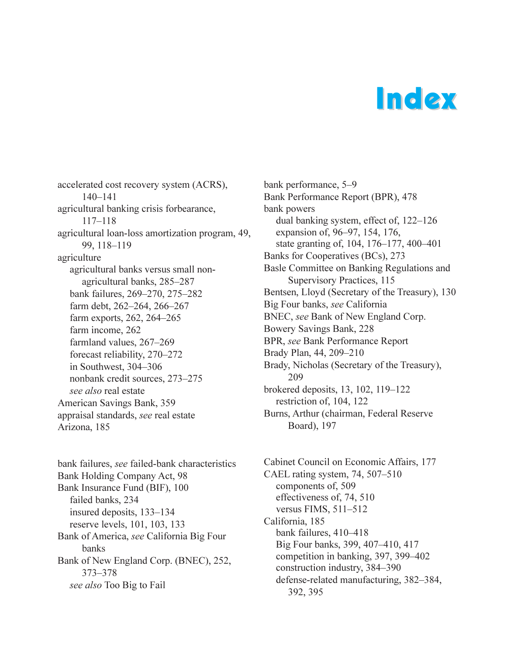## Index

accelerated cost recovery system (ACRS),  $140 - 141$ agricultural banking crisis forbearance, 117-118 agricultural loan-loss amortization program, 49, 99, 118-119 agriculture agricultural banks versus small nonagricultural banks, 285-287 bank failures, 269-270, 275-282 farm debt, 262-264, 266-267 farm exports, 262, 264-265 farm income, 262 farmland values, 267-269 forecast reliability, 270-272 in Southwest, 304-306 nonbank credit sources, 273-275 *see also* real estate American Savings Bank, 359 appraisal standards, *see* real estate Arizona, 185

bank failures, *see* failed-bank characteristics Bank Holding Company Act, 98 Bank Insurance Fund (BIF), 100 failed banks, 234 insured deposits,  $133-134$ reserve levels, 101, 103, 133 Bank of America, *see* California Big Four banks Bank of New England Corp. (BNEC), 252, 373-378 *see also* Too Big to Fail

bank performance, 5–9 Bank Performance Report (BPR), 478 bank powers dual banking system, effect of,  $122-126$ expansion of, 96-97, 154, 176, state granting of, 104, 176-177, 400-401 Banks for Cooperatives (BCs), 273 Basle Committee on Banking Regulations and Supervisory Practices, 115 Bentsen, Lloyd (Secretary of the Treasury), 130 Big Four banks, *see* California BNEC, *see* Bank of New England Corp. Bowery Savings Bank, 228 BPR, *see* Bank Performance Report Brady Plan, 44, 209-210 Brady, Nicholas (Secretary of the Treasury), 209 brokered deposits,  $13, 102, 119-122$ restriction of, 104, 122 Burns, Arthur (chairman, Federal Reserve Board), 197

Cabinet Council on Economic Affairs, 177 CAEL rating system,  $74, 507 - 510$ components of, 509 effectiveness of, 74, 510 versus FIMS,  $511-512$ California, 185 bank failures, 410-418 Big Four banks, 399, 407-410, 417 competition in banking, 397, 399-402 construction industry, 384-390 defense-related manufacturing, 382-384, 392, 395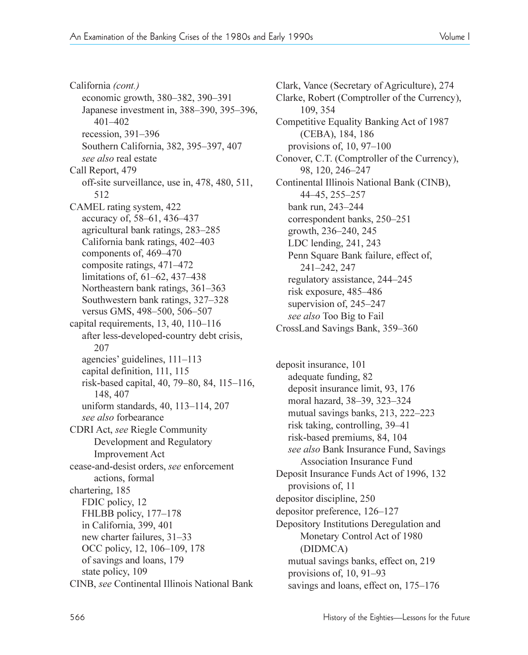California *(cont.)* economic growth, 380–382, 390–391 Japanese investment in, 388–390, 395–396, 401-402 recession,  $391-396$ Southern California, 382, 395-397, 407 *see also* real estate Call Report, 479 off-site surveillance, use in, 478, 480, 511, 512 CAMEL rating system, 422 accuracy of, 58–61, 436–437 agricultural bank ratings, 283-285 California bank ratings, 402–403 components of, 469–470 composite ratings, 471-472 limitations of,  $61-62$ ,  $437-438$ Northeastern bank ratings, 361-363 Southwestern bank ratings, 327–328 versus GMS, 498-500, 506-507 capital requirements,  $13, 40, 110-116$ after less-developed-country debt crisis, 207 agencies' guidelines,  $111-113$ capital definition, 111, 115 risk-based capital, 40, 79-80, 84, 115-116, 148, 407 uniform standards,  $40$ ,  $113-114$ ,  $207$ *see also* forbearance CDRI Act, *see* Riegle Community Development and Regulatory Improvement Act cease-and-desist orders, *see* enforcement actions, formal chartering, 185 FDIC policy, 12 FHLBB policy, 177-178 in California, 399, 401 new charter failures,  $31-33$ OCC policy, 12, 106–109, 178 of savings and loans, 179 state policy, 109 CINB, *see* Continental Illinois National Bank

Clark, Vance (Secretary of Agriculture), 274 Clarke, Robert (Comptroller of the Currency), 109, 354 Competitive Equality Banking Act of 1987 (CEBA), 184, 186 provisions of,  $10, 97-100$ Conover, C.T. (Comptroller of the Currency), 98, 120, 246-247 Continental Illinois National Bank (CINB), 44-45, 255-257 bank run, 243–244 correspondent banks, 250-251 growth, 236–240, 245 LDC lending, 241, 243 Penn Square Bank failure, effect of, 241-242, 247 regulatory assistance, 244–245 risk exposure, 485–486 supervision of,  $245-247$ *see also* Too Big to Fail CrossLand Savings Bank, 359–360

deposit insurance, 101 adequate funding, 82 deposit insurance limit, 93, 176 moral hazard, 38–39, 323–324 mutual savings banks,  $213$ ,  $222-223$ risk taking, controlling, 39–41 risk-based premiums, 84, 104 *see also* Bank Insurance Fund, Savings Association Insurance Fund Deposit Insurance Funds Act of 1996, 132 provisions of, 11 depositor discipline, 250 depositor preference, 126–127 Depository Institutions Deregulation and Monetary Control Act of 1980 (DIDMCA) mutual savings banks, effect on, 219 provisions of,  $10, 91-93$ savings and loans, effect on, 175–176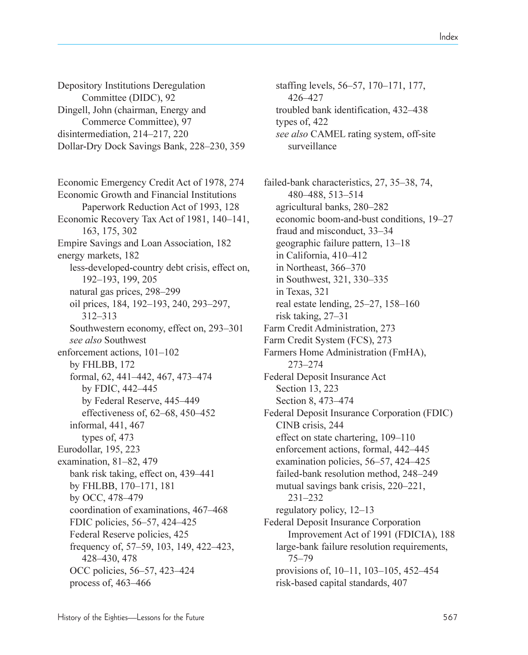Depository Institutions Deregulation Committee (DIDC), 92 Dingell, John (chairman, Energy and Commerce Committee), 97 disintermediation,  $214-217$ ,  $220$ Dollar-Dry Dock Savings Bank, 228-230, 359

Economic Emergency Credit Act of 1978, 274 Economic Growth and Financial Institutions Paperwork Reduction Act of 1993, 128 Economic Recovery Tax Act of 1981, 140–141, 163, 175, 302 Empire Savings and Loan Association, 182 energy markets, 182 less-developed-country debt crisis, effect on, 192-193, 199, 205 natural gas prices, 298-299 oil prices, 184, 192–193, 240, 293–297, 312-313 Southwestern economy, effect on, 293–301 *see also* Southwest enforcement actions,  $101-102$ by FHLBB, 172 formal, 62, 441–442, 467, 473–474 by FDIC,  $442-445$ by Federal Reserve, 445–449 effectiveness of,  $62-68$ ,  $450-452$ informal, 441, 467 types of, 473 Eurodollar, 195, 223 examination,  $81-82$ ,  $479$ bank risk taking, effect on, 439–441 by FHLBB, 170-171, 181 by OCC, 478-479 coordination of examinations, 467–468 FDIC policies, 56–57, 424–425 Federal Reserve policies, 425 frequency of, 57–59, 103, 149, 422–423, 428430, 478 OCC policies, 56–57, 423–424 process of,  $463-466$ 

staffing levels, 56–57, 170–171, 177, 426-427 troubled bank identification, 432-438 types of, 422 *see also* CAMEL rating system, off-site surveillance

failed-bank characteristics, 27, 35–38, 74, 480-488, 513-514 agricultural banks, 280–282 economic boom-and-bust conditions, 19-27 fraud and misconduct, 33–34 geographic failure pattern,  $13-18$ in California,  $410-412$ in Northeast, 366–370 in Southwest, 321, 330–335 in Texas, 321 real estate lending,  $25-27$ ,  $158-160$ risk taking,  $27-31$ Farm Credit Administration, 273 Farm Credit System (FCS), 273 Farmers Home Administration (FmHA), 273-274 Federal Deposit Insurance Act Section 13, 223 Section 8, 473–474 Federal Deposit Insurance Corporation (FDIC) CINB crisis, 244 effect on state chartering, 109-110 enforcement actions, formal, 442-445 examination policies,  $56-57$ ,  $424-425$ failed-bank resolution method, 248–249 mutual savings bank crisis, 220–221, 231-232 regulatory policy,  $12-13$ Federal Deposit Insurance Corporation Improvement Act of 1991 (FDICIA), 188 large-bank failure resolution requirements,  $75 - 79$ provisions of,  $10-11$ ,  $103-105$ ,  $452-454$ risk-based capital standards, 407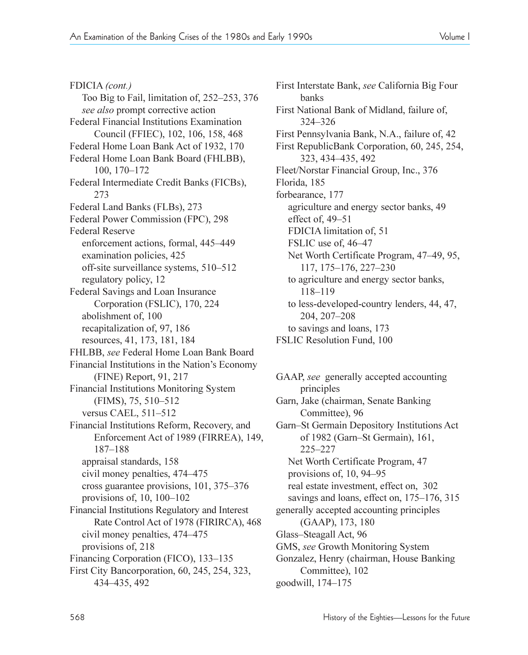FDICIA *(cont.)* Too Big to Fail, limitation of,  $252-253$ ,  $376$ *see also* prompt corrective action Federal Financial Institutions Examination Council (FFIEC), 102, 106, 158, 468 Federal Home Loan Bank Act of 1932, 170 Federal Home Loan Bank Board (FHLBB), 100, 170-172 Federal Intermediate Credit Banks (FICBs), 273 Federal Land Banks (FLBs), 273 Federal Power Commission (FPC), 298 Federal Reserve enforcement actions, formal, 445–449 examination policies, 425 off-site surveillance systems, 510-512 regulatory policy, 12 Federal Savings and Loan Insurance Corporation (FSLIC), 170, 224 abolishment of, 100 recapitalization of, 97, 186 resources, 41, 173, 181, 184 FHLBB, *see* Federal Home Loan Bank Board Financial Institutions in the Nation's Economy (FINE) Report, 91, 217 Financial Institutions Monitoring System  $(FIMS), 75, 510-512$ versus CAEL,  $511-512$ Financial Institutions Reform, Recovery, and Enforcement Act of 1989 (FIRREA), 149, 187-188 appraisal standards, 158 civil money penalties, 474–475 cross guarantee provisions, 101, 375-376 provisions of,  $10$ ,  $100-102$ Financial Institutions Regulatory and Interest Rate Control Act of 1978 (FIRIRCA), 468 civil money penalties, 474–475 provisions of, 218 Financing Corporation (FICO), 133–135 First City Bancorporation, 60, 245, 254, 323, 434435, 492

First Interstate Bank, *see* California Big Four banks First National Bank of Midland, failure of, 324-326 First Pennsylvania Bank, N.A., failure of, 42 First RepublicBank Corporation, 60, 245, 254, 323, 434-435, 492 Fleet/Norstar Financial Group, Inc., 376 Florida, 185 forbearance, 177 agriculture and energy sector banks, 49 effect of,  $49-51$ FDICIA limitation of, 51 FSLIC use of,  $46-47$ Net Worth Certificate Program, 47-49, 95, 117, 175-176, 227-230 to agriculture and energy sector banks, 118-119 to less-developed-country lenders, 44, 47, 204, 207-208 to savings and loans, 173 FSLIC Resolution Fund, 100

GAAP, *see* generally accepted accounting principles Garn, Jake (chairman, Senate Banking Committee), 96 Garn–St Germain Depository Institutions Act of 1982 (Garn–St Germain), 161, 225-227 Net Worth Certificate Program, 47 provisions of,  $10, 94-95$ real estate investment, effect on, 302 savings and loans, effect on,  $175-176$ ,  $315$ generally accepted accounting principles (GAAP), 173, 180 Glass-Steagall Act, 96 GMS, *see* Growth Monitoring System Gonzalez, Henry (chairman, House Banking Committee), 102 goodwill, 174-175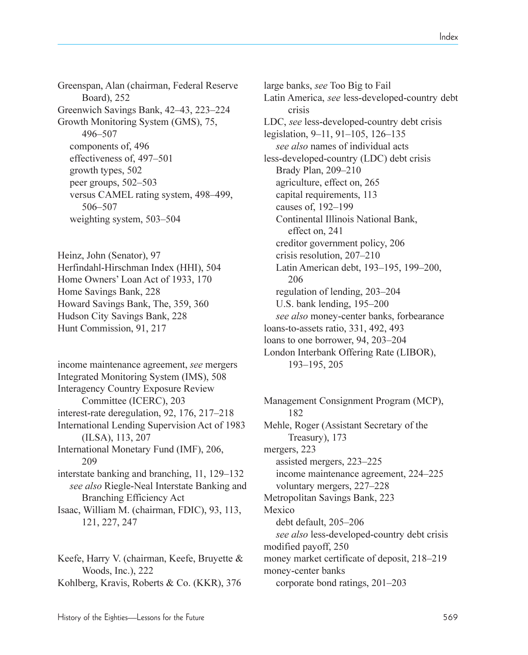Greenspan, Alan (chairman, Federal Reserve Board), 252 Greenwich Savings Bank, 42–43, 223–224 Growth Monitoring System (GMS), 75, 496-507 components of, 496 effectiveness of, 497-501 growth types, 502 peer groups,  $502-503$ versus CAMEL rating system, 498–499, 506-507 weighting system, 503–504

Heinz, John (Senator), 97 Herfindahl-Hirschman Index (HHI), 504 Home Owners' Loan Act of 1933, 170 Home Savings Bank, 228 Howard Savings Bank, The, 359, 360 Hudson City Savings Bank, 228 Hunt Commission, 91, 217

income maintenance agreement, *see* mergers Integrated Monitoring System (IMS), 508 Interagency Country Exposure Review Committee (ICERC), 203 interest-rate deregulation, 92, 176, 217–218 International Lending Supervision Act of 1983 (ILSA), 113, 207 International Monetary Fund (IMF), 206, 209 interstate banking and branching,  $11, 129-132$ *see also* Riegle-Neal Interstate Banking and Branching Efficiency Act Isaac, William M. (chairman, FDIC), 93, 113, 121, 227, 247

Keefe, Harry V. (chairman, Keefe, Bruyette & Woods, Inc.), 222 Kohlberg, Kravis, Roberts & Co. (KKR), 376 large banks, *see* Too Big to Fail Latin America, *see* less-developed-country debt crisis LDC, *see* less-developed-country debt crisis legislation, 9–11, 91–105, 126–135 *see also* names of individual acts less-developed-country (LDC) debt crisis Brady Plan, 209-210 agriculture, effect on, 265 capital requirements, 113 causes of,  $192-199$ Continental Illinois National Bank, effect on, 241 creditor government policy, 206 crisis resolution, 207-210 Latin American debt, 193-195, 199-200, 206 regulation of lending, 203–204 U.S. bank lending,  $195-200$ *see also* money-center banks, forbearance loans-to-assets ratio, 331, 492, 493 loans to one borrower,  $94, 203-204$ London Interbank Offering Rate (LIBOR), 193-195, 205

Management Consignment Program (MCP), 182 Mehle, Roger (Assistant Secretary of the Treasury), 173 mergers, 223 assisted mergers, 223–225 income maintenance agreement, 224–225 voluntary mergers, 227–228 Metropolitan Savings Bank, 223 Mexico debt default, 205-206 *see also* less-developed-country debt crisis modified payoff, 250 money market certificate of deposit, 218–219 money-center banks corporate bond ratings,  $201-203$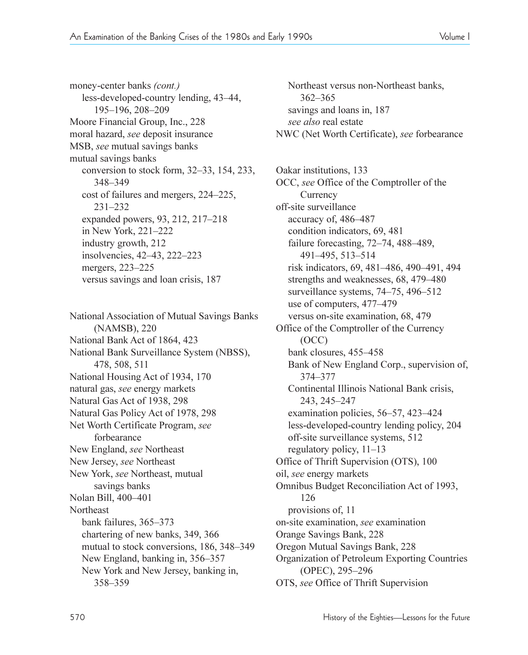money-center banks *(cont.)* less-developed-country lending, 43–44, 195-196, 208-209 Moore Financial Group, Inc., 228 moral hazard, *see* deposit insurance MSB, *see* mutual savings banks mutual savings banks conversion to stock form,  $32-33$ ,  $154$ ,  $233$ , 348-349 cost of failures and mergers, 224–225, 231-232 expanded powers, 93, 212, 217–218 in New York, 221-222 industry growth, 212 insolvencies, 42–43, 222–223 mergers, 223–225 versus savings and loan crisis, 187

National Association of Mutual Savings Banks (NAMSB), 220 National Bank Act of 1864, 423 National Bank Surveillance System (NBSS), 478, 508, 511 National Housing Act of 1934, 170 natural gas, *see* energy markets Natural Gas Act of 1938, 298 Natural Gas Policy Act of 1978, 298 Net Worth Certificate Program, *see*  forbearance New England, *see* Northeast New Jersey, *see* Northeast New York, *see* Northeast, mutual savings banks Nolan Bill, 400-401 Northeast bank failures, 365–373 chartering of new banks, 349, 366 mutual to stock conversions, 186, 348-349 New England, banking in, 356–357 New York and New Jersey, banking in, 358-359

Northeast versus non-Northeast banks, 362-365 savings and loans in, 187 *see also* real estate NWC (Net Worth Certificate), *see* forbearance

Oakar institutions, 133 OCC, *see* Office of the Comptroller of the **Currency** off-site surveillance accuracy of, 486-487 condition indicators, 69, 481 failure forecasting,  $72-74$ ,  $488-489$ , 491-495, 513-514 risk indicators, 69, 481-486, 490-491, 494 strengths and weaknesses, 68, 479–480 surveillance systems,  $74-75$ ,  $496-512$ use of computers, 477–479 versus on-site examination, 68, 479 Office of the Comptroller of the Currency (OCC) bank closures, 455–458 Bank of New England Corp., supervision of, 374-377 Continental Illinois National Bank crisis, 243, 245-247 examination policies,  $56-57$ ,  $423-424$ less-developed-country lending policy, 204 off-site surveillance systems, 512 regulatory policy,  $11-13$ Office of Thrift Supervision (OTS), 100 oil, *see* energy markets Omnibus Budget Reconciliation Act of 1993, 126 provisions of, 11 on-site examination, *see* examination Orange Savings Bank, 228 Oregon Mutual Savings Bank, 228 Organization of Petroleum Exporting Countries (OPEC), 295-296 OTS, *see* Office of Thrift Supervision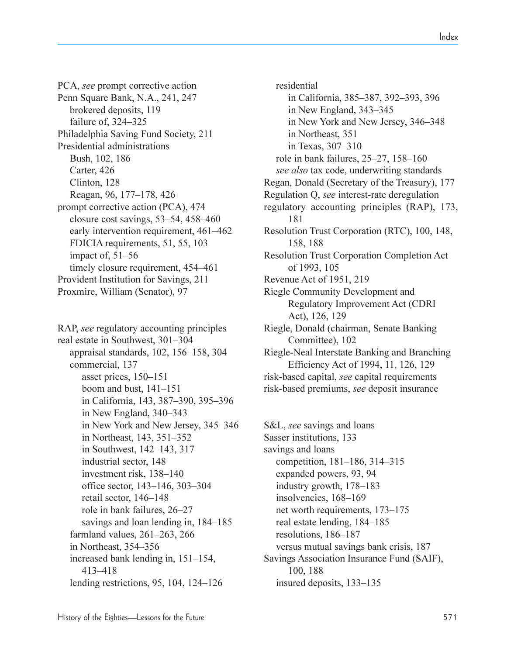PCA, *see* prompt corrective action Penn Square Bank, N.A., 241, 247 brokered deposits, 119 failure of,  $324 - 325$ Philadelphia Saving Fund Society, 211 Presidential administrations Bush, 102, 186 Carter, 426 Clinton, 128 Reagan, 96, 177–178, 426 prompt corrective action (PCA), 474 closure cost savings,  $53-54$ ,  $458-460$ early intervention requirement, 461–462 FDICIA requirements, 51, 55, 103 impact of,  $51-56$ timely closure requirement, 454–461 Provident Institution for Savings, 211 Proxmire, William (Senator), 97

RAP, *see* regulatory accounting principles real estate in Southwest, 301–304 appraisal standards,  $102$ ,  $156-158$ ,  $304$ commercial, 137 asset prices,  $150-151$ boom and bust,  $141-151$ in California, 143, 387-390, 395-396 in New England,  $340-343$ in New York and New Jersey, 345–346 in Northeast,  $143$ ,  $351-352$ in Southwest,  $142-143$ ,  $317$ industrial sector, 148 investment risk, 138–140 office sector, 143–146, 303–304 retail sector, 146–148 role in bank failures, 26–27 savings and loan lending in, 184–185 farmland values,  $261-263$ ,  $266$ in Northeast, 354–356 increased bank lending in,  $151-154$ , 413-418 lending restrictions, 95, 104, 124 $-126$ 

residential in California, 385–387, 392–393, 396 in New England,  $343-345$ in New York and New Jersey, 346-348 in Northeast, 351 in Texas,  $307 - 310$ role in bank failures,  $25-27$ ,  $158-160$ *see also* tax code, underwriting standards Regan, Donald (Secretary of the Treasury), 177 Regulation Q, *see* interest-rate deregulation regulatory accounting principles (RAP), 173, 181 Resolution Trust Corporation (RTC), 100, 148, 158, 188 Resolution Trust Corporation Completion Act of 1993, 105 Revenue Act of 1951, 219 Riegle Community Development and Regulatory Improvement Act (CDRI Act), 126, 129 Riegle, Donald (chairman, Senate Banking Committee), 102 Riegle-Neal Interstate Banking and Branching Efficiency Act of 1994, 11, 126, 129 risk-based capital, *see* capital requirements risk-based premiums, *see* deposit insurance

S&L, *see* savings and loans Sasser institutions, 133 savings and loans competition, 181–186, 314–315 expanded powers, 93, 94 industry growth,  $178-183$ insolvencies, 168-169 net worth requirements, 173–175 real estate lending, 184–185 resolutions, 186-187 versus mutual savings bank crisis, 187 Savings Association Insurance Fund (SAIF), 100, 188 insured deposits, 133–135